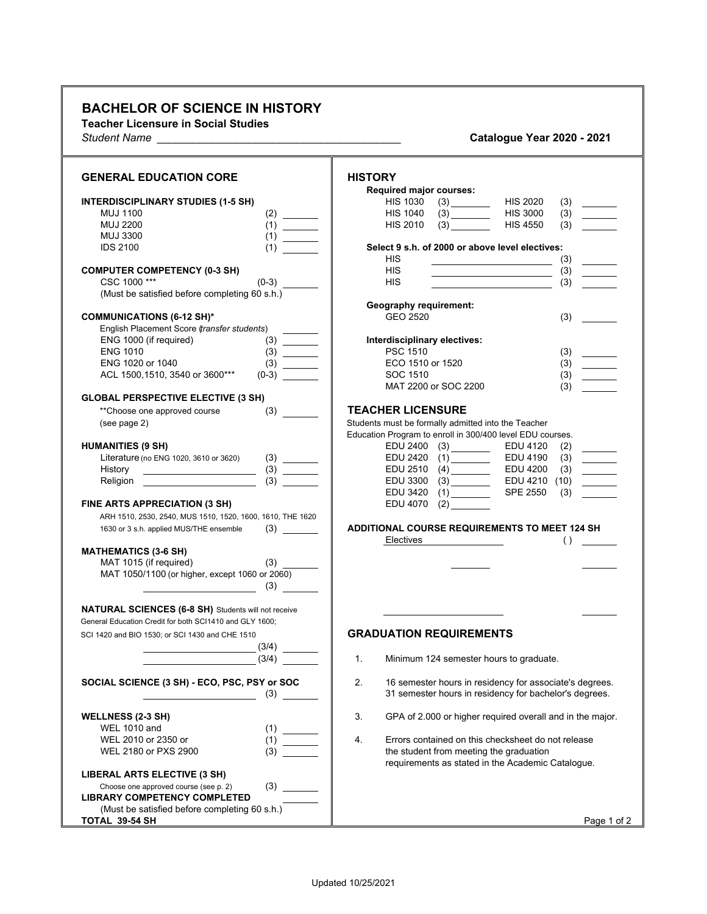## **BACHELOR OF SCIENCE IN HISTORY**

**Teacher Licensure in Social Studies** *Student Name \_\_\_\_\_\_\_\_\_\_\_\_\_\_\_\_\_\_\_\_\_\_\_\_\_\_\_\_\_\_\_\_\_\_\_\_\_\_\_\_* **Catalogue Year 2020 - 2021**

| <b>Catalogue Year 2020 - 2021</b> |  |  |  |
|-----------------------------------|--|--|--|
|-----------------------------------|--|--|--|

| <b>GENERAL EDUCATION CORE</b><br><b>HISTORY</b><br>Required major courses:<br><b>HIS 1030</b><br>(3)<br><b>HIS 2020</b><br><b>INTERDISCIPLINARY STUDIES (1-5 SH)</b><br>(3)<br><b>HIS 3000</b><br><b>MUJ 1100</b><br><b>HIS 1040</b><br>(3)<br><b>HIS 2010</b><br><b>MUJ 2200</b><br>(3)<br><b>HIS 4550</b><br>(3)<br><b>MUJ 3300</b><br>Select 9 s.h. of 2000 or above level electives:<br><b>IDS 2100</b><br>(1)<br><b>HIS</b><br>(3)<br><b>HIS</b><br><b>COMPUTER COMPETENCY (0-3 SH)</b><br>(3)<br>CSC 1000***<br>$(0-3)$<br><b>HIS</b><br>(3)<br>(Must be satisfied before completing 60 s.h.)<br><b>Geography requirement:</b><br><b>COMMUNICATIONS (6-12 SH)*</b><br>GEO 2520<br>(3)<br>English Placement Score (transfer students)<br>ENG 1000 (if required)<br>Interdisciplinary electives:<br><b>PSC 1510</b><br><b>ENG 1010</b><br>(3)<br>ENG 1020 or 1040<br>ECO 1510 or 1520<br>(3)<br>ACL 1500,1510, 3540 or 3600***<br>SOC 1510<br>$(0-3)$<br>(3)<br>(3)<br>MAT 2200 or SOC 2200<br><b>GLOBAL PERSPECTIVE ELECTIVE (3 SH)</b><br><b>TEACHER LICENSURE</b><br>(3)<br>**Choose one approved course<br>Students must be formally admitted into the Teacher<br>(see page 2)<br>Education Program to enroll in 300/400 level EDU courses.<br><b>HUMANITIES (9 SH)</b><br>EDU 2400<br>EDU 4120<br>(2)<br><b>EDU 2420</b><br>EDU 4190<br>(3)<br>Literature (no ENG 1020, 3610 or 3620)<br>EDU 2510<br>EDU 4200<br>(3)<br>History<br>$\mathcal{L}_{\text{max}}$ and $\mathcal{L}_{\text{max}}$<br>$\overline{3}$<br>Religion<br>EDU 3300<br>EDU 4210 (10)<br><b>SPE 2550</b><br>EDU 3420<br>(3)<br>(1)<br>FINE ARTS APPRECIATION (3 SH)<br>EDU 4070<br>(2)<br>ARH 1510, 2530, 2540, MUS 1510, 1520, 1600, 1610, THE 1620<br><b>ADDITIONAL COURSE REQUIREMENTS TO MEET 124 SH</b><br>1630 or 3 s.h. applied MUS/THE ensemble<br>Electives<br>( )<br><b>MATHEMATICS (3-6 SH)</b><br>MAT 1015 (if required)<br>MAT 1050/1100 (or higher, except 1060 or 2060)<br>$\begin{array}{ccc} \hline \end{array}$ (3) $\begin{array}{ccc} \hline \end{array}$<br><b>NATURAL SCIENCES (6-8 SH)</b> Students will not receive<br>General Education Credit for both SCI1410 and GLY 1600;<br><b>GRADUATION REQUIREMENTS</b><br>SCI 1420 and BIO 1530; or SCI 1430 and CHE 1510<br>(3/4)<br>1 <sub>1</sub><br>(3/4)<br>Minimum 124 semester hours to graduate.<br>SOCIAL SCIENCE (3 SH) - ECO, PSC, PSY or SOC<br>2.<br>16 semester hours in residency for associate's degrees.<br>31 semester hours in residency for bachelor's degrees.<br>3.<br>GPA of 2.000 or higher required overall and in the major.<br><b>WELLNESS (2-3 SH)</b><br><b>WEL 1010 and</b><br>(1)<br>WEL 2010 or 2350 or<br>4.<br>Errors contained on this checksheet do not release<br>$\frac{1}{2} \left( \frac{1}{2} \right) \left( \frac{1}{2} \right) \left( \frac{1}{2} \right) \left( \frac{1}{2} \right) \left( \frac{1}{2} \right) \left( \frac{1}{2} \right) \left( \frac{1}{2} \right) \left( \frac{1}{2} \right) \left( \frac{1}{2} \right) \left( \frac{1}{2} \right) \left( \frac{1}{2} \right) \left( \frac{1}{2} \right) \left( \frac{1}{2} \right) \left( \frac{1}{2} \right) \left( \frac{1}{2} \right) \left( \frac{1}{2} \right) \left( \frac$<br>(3)<br>WEL 2180 or PXS 2900<br>the student from meeting the graduation<br>requirements as stated in the Academic Catalogue.<br><b>LIBERAL ARTS ELECTIVE (3 SH)</b><br>(3)<br>Choose one approved course (see p. 2)<br><b>LIBRARY COMPETENCY COMPLETED</b><br>(Must be satisfied before completing 60 s.h.) |                |             |
|----------------------------------------------------------------------------------------------------------------------------------------------------------------------------------------------------------------------------------------------------------------------------------------------------------------------------------------------------------------------------------------------------------------------------------------------------------------------------------------------------------------------------------------------------------------------------------------------------------------------------------------------------------------------------------------------------------------------------------------------------------------------------------------------------------------------------------------------------------------------------------------------------------------------------------------------------------------------------------------------------------------------------------------------------------------------------------------------------------------------------------------------------------------------------------------------------------------------------------------------------------------------------------------------------------------------------------------------------------------------------------------------------------------------------------------------------------------------------------------------------------------------------------------------------------------------------------------------------------------------------------------------------------------------------------------------------------------------------------------------------------------------------------------------------------------------------------------------------------------------------------------------------------------------------------------------------------------------------------------------------------------------------------------------------------------------------------------------------------------------------------------------------------------------------------------------------------------------------------------------------------------------------------------------------------------------------------------------------------------------------------------------------------------------------------------------------------------------------------------------------------------------------------------------------------------------------------------------------------------------------------------------------------------------------------------------------------------------------------------------------------------------------------------------------------------------------------------------------------------------------------------------------------------------------------------------------------------------------------------------------------------------------------------------------------------------------------------------------------------------------------------------------------------------------------------------------------------------------------------------------------------------------------------------------------------------------------------------------------------------------------------------------------------------------------------------------------------------------------------------------------------------------------------------|----------------|-------------|
|                                                                                                                                                                                                                                                                                                                                                                                                                                                                                                                                                                                                                                                                                                                                                                                                                                                                                                                                                                                                                                                                                                                                                                                                                                                                                                                                                                                                                                                                                                                                                                                                                                                                                                                                                                                                                                                                                                                                                                                                                                                                                                                                                                                                                                                                                                                                                                                                                                                                                                                                                                                                                                                                                                                                                                                                                                                                                                                                                                                                                                                                                                                                                                                                                                                                                                                                                                                                                                                                                                                                              |                |             |
|                                                                                                                                                                                                                                                                                                                                                                                                                                                                                                                                                                                                                                                                                                                                                                                                                                                                                                                                                                                                                                                                                                                                                                                                                                                                                                                                                                                                                                                                                                                                                                                                                                                                                                                                                                                                                                                                                                                                                                                                                                                                                                                                                                                                                                                                                                                                                                                                                                                                                                                                                                                                                                                                                                                                                                                                                                                                                                                                                                                                                                                                                                                                                                                                                                                                                                                                                                                                                                                                                                                                              |                |             |
|                                                                                                                                                                                                                                                                                                                                                                                                                                                                                                                                                                                                                                                                                                                                                                                                                                                                                                                                                                                                                                                                                                                                                                                                                                                                                                                                                                                                                                                                                                                                                                                                                                                                                                                                                                                                                                                                                                                                                                                                                                                                                                                                                                                                                                                                                                                                                                                                                                                                                                                                                                                                                                                                                                                                                                                                                                                                                                                                                                                                                                                                                                                                                                                                                                                                                                                                                                                                                                                                                                                                              |                |             |
|                                                                                                                                                                                                                                                                                                                                                                                                                                                                                                                                                                                                                                                                                                                                                                                                                                                                                                                                                                                                                                                                                                                                                                                                                                                                                                                                                                                                                                                                                                                                                                                                                                                                                                                                                                                                                                                                                                                                                                                                                                                                                                                                                                                                                                                                                                                                                                                                                                                                                                                                                                                                                                                                                                                                                                                                                                                                                                                                                                                                                                                                                                                                                                                                                                                                                                                                                                                                                                                                                                                                              |                |             |
|                                                                                                                                                                                                                                                                                                                                                                                                                                                                                                                                                                                                                                                                                                                                                                                                                                                                                                                                                                                                                                                                                                                                                                                                                                                                                                                                                                                                                                                                                                                                                                                                                                                                                                                                                                                                                                                                                                                                                                                                                                                                                                                                                                                                                                                                                                                                                                                                                                                                                                                                                                                                                                                                                                                                                                                                                                                                                                                                                                                                                                                                                                                                                                                                                                                                                                                                                                                                                                                                                                                                              |                |             |
|                                                                                                                                                                                                                                                                                                                                                                                                                                                                                                                                                                                                                                                                                                                                                                                                                                                                                                                                                                                                                                                                                                                                                                                                                                                                                                                                                                                                                                                                                                                                                                                                                                                                                                                                                                                                                                                                                                                                                                                                                                                                                                                                                                                                                                                                                                                                                                                                                                                                                                                                                                                                                                                                                                                                                                                                                                                                                                                                                                                                                                                                                                                                                                                                                                                                                                                                                                                                                                                                                                                                              |                |             |
|                                                                                                                                                                                                                                                                                                                                                                                                                                                                                                                                                                                                                                                                                                                                                                                                                                                                                                                                                                                                                                                                                                                                                                                                                                                                                                                                                                                                                                                                                                                                                                                                                                                                                                                                                                                                                                                                                                                                                                                                                                                                                                                                                                                                                                                                                                                                                                                                                                                                                                                                                                                                                                                                                                                                                                                                                                                                                                                                                                                                                                                                                                                                                                                                                                                                                                                                                                                                                                                                                                                                              |                |             |
|                                                                                                                                                                                                                                                                                                                                                                                                                                                                                                                                                                                                                                                                                                                                                                                                                                                                                                                                                                                                                                                                                                                                                                                                                                                                                                                                                                                                                                                                                                                                                                                                                                                                                                                                                                                                                                                                                                                                                                                                                                                                                                                                                                                                                                                                                                                                                                                                                                                                                                                                                                                                                                                                                                                                                                                                                                                                                                                                                                                                                                                                                                                                                                                                                                                                                                                                                                                                                                                                                                                                              |                |             |
|                                                                                                                                                                                                                                                                                                                                                                                                                                                                                                                                                                                                                                                                                                                                                                                                                                                                                                                                                                                                                                                                                                                                                                                                                                                                                                                                                                                                                                                                                                                                                                                                                                                                                                                                                                                                                                                                                                                                                                                                                                                                                                                                                                                                                                                                                                                                                                                                                                                                                                                                                                                                                                                                                                                                                                                                                                                                                                                                                                                                                                                                                                                                                                                                                                                                                                                                                                                                                                                                                                                                              |                |             |
|                                                                                                                                                                                                                                                                                                                                                                                                                                                                                                                                                                                                                                                                                                                                                                                                                                                                                                                                                                                                                                                                                                                                                                                                                                                                                                                                                                                                                                                                                                                                                                                                                                                                                                                                                                                                                                                                                                                                                                                                                                                                                                                                                                                                                                                                                                                                                                                                                                                                                                                                                                                                                                                                                                                                                                                                                                                                                                                                                                                                                                                                                                                                                                                                                                                                                                                                                                                                                                                                                                                                              |                |             |
|                                                                                                                                                                                                                                                                                                                                                                                                                                                                                                                                                                                                                                                                                                                                                                                                                                                                                                                                                                                                                                                                                                                                                                                                                                                                                                                                                                                                                                                                                                                                                                                                                                                                                                                                                                                                                                                                                                                                                                                                                                                                                                                                                                                                                                                                                                                                                                                                                                                                                                                                                                                                                                                                                                                                                                                                                                                                                                                                                                                                                                                                                                                                                                                                                                                                                                                                                                                                                                                                                                                                              |                |             |
|                                                                                                                                                                                                                                                                                                                                                                                                                                                                                                                                                                                                                                                                                                                                                                                                                                                                                                                                                                                                                                                                                                                                                                                                                                                                                                                                                                                                                                                                                                                                                                                                                                                                                                                                                                                                                                                                                                                                                                                                                                                                                                                                                                                                                                                                                                                                                                                                                                                                                                                                                                                                                                                                                                                                                                                                                                                                                                                                                                                                                                                                                                                                                                                                                                                                                                                                                                                                                                                                                                                                              |                |             |
|                                                                                                                                                                                                                                                                                                                                                                                                                                                                                                                                                                                                                                                                                                                                                                                                                                                                                                                                                                                                                                                                                                                                                                                                                                                                                                                                                                                                                                                                                                                                                                                                                                                                                                                                                                                                                                                                                                                                                                                                                                                                                                                                                                                                                                                                                                                                                                                                                                                                                                                                                                                                                                                                                                                                                                                                                                                                                                                                                                                                                                                                                                                                                                                                                                                                                                                                                                                                                                                                                                                                              |                |             |
|                                                                                                                                                                                                                                                                                                                                                                                                                                                                                                                                                                                                                                                                                                                                                                                                                                                                                                                                                                                                                                                                                                                                                                                                                                                                                                                                                                                                                                                                                                                                                                                                                                                                                                                                                                                                                                                                                                                                                                                                                                                                                                                                                                                                                                                                                                                                                                                                                                                                                                                                                                                                                                                                                                                                                                                                                                                                                                                                                                                                                                                                                                                                                                                                                                                                                                                                                                                                                                                                                                                                              |                |             |
|                                                                                                                                                                                                                                                                                                                                                                                                                                                                                                                                                                                                                                                                                                                                                                                                                                                                                                                                                                                                                                                                                                                                                                                                                                                                                                                                                                                                                                                                                                                                                                                                                                                                                                                                                                                                                                                                                                                                                                                                                                                                                                                                                                                                                                                                                                                                                                                                                                                                                                                                                                                                                                                                                                                                                                                                                                                                                                                                                                                                                                                                                                                                                                                                                                                                                                                                                                                                                                                                                                                                              |                |             |
|                                                                                                                                                                                                                                                                                                                                                                                                                                                                                                                                                                                                                                                                                                                                                                                                                                                                                                                                                                                                                                                                                                                                                                                                                                                                                                                                                                                                                                                                                                                                                                                                                                                                                                                                                                                                                                                                                                                                                                                                                                                                                                                                                                                                                                                                                                                                                                                                                                                                                                                                                                                                                                                                                                                                                                                                                                                                                                                                                                                                                                                                                                                                                                                                                                                                                                                                                                                                                                                                                                                                              |                |             |
|                                                                                                                                                                                                                                                                                                                                                                                                                                                                                                                                                                                                                                                                                                                                                                                                                                                                                                                                                                                                                                                                                                                                                                                                                                                                                                                                                                                                                                                                                                                                                                                                                                                                                                                                                                                                                                                                                                                                                                                                                                                                                                                                                                                                                                                                                                                                                                                                                                                                                                                                                                                                                                                                                                                                                                                                                                                                                                                                                                                                                                                                                                                                                                                                                                                                                                                                                                                                                                                                                                                                              |                |             |
|                                                                                                                                                                                                                                                                                                                                                                                                                                                                                                                                                                                                                                                                                                                                                                                                                                                                                                                                                                                                                                                                                                                                                                                                                                                                                                                                                                                                                                                                                                                                                                                                                                                                                                                                                                                                                                                                                                                                                                                                                                                                                                                                                                                                                                                                                                                                                                                                                                                                                                                                                                                                                                                                                                                                                                                                                                                                                                                                                                                                                                                                                                                                                                                                                                                                                                                                                                                                                                                                                                                                              |                |             |
|                                                                                                                                                                                                                                                                                                                                                                                                                                                                                                                                                                                                                                                                                                                                                                                                                                                                                                                                                                                                                                                                                                                                                                                                                                                                                                                                                                                                                                                                                                                                                                                                                                                                                                                                                                                                                                                                                                                                                                                                                                                                                                                                                                                                                                                                                                                                                                                                                                                                                                                                                                                                                                                                                                                                                                                                                                                                                                                                                                                                                                                                                                                                                                                                                                                                                                                                                                                                                                                                                                                                              |                |             |
|                                                                                                                                                                                                                                                                                                                                                                                                                                                                                                                                                                                                                                                                                                                                                                                                                                                                                                                                                                                                                                                                                                                                                                                                                                                                                                                                                                                                                                                                                                                                                                                                                                                                                                                                                                                                                                                                                                                                                                                                                                                                                                                                                                                                                                                                                                                                                                                                                                                                                                                                                                                                                                                                                                                                                                                                                                                                                                                                                                                                                                                                                                                                                                                                                                                                                                                                                                                                                                                                                                                                              |                |             |
|                                                                                                                                                                                                                                                                                                                                                                                                                                                                                                                                                                                                                                                                                                                                                                                                                                                                                                                                                                                                                                                                                                                                                                                                                                                                                                                                                                                                                                                                                                                                                                                                                                                                                                                                                                                                                                                                                                                                                                                                                                                                                                                                                                                                                                                                                                                                                                                                                                                                                                                                                                                                                                                                                                                                                                                                                                                                                                                                                                                                                                                                                                                                                                                                                                                                                                                                                                                                                                                                                                                                              |                |             |
|                                                                                                                                                                                                                                                                                                                                                                                                                                                                                                                                                                                                                                                                                                                                                                                                                                                                                                                                                                                                                                                                                                                                                                                                                                                                                                                                                                                                                                                                                                                                                                                                                                                                                                                                                                                                                                                                                                                                                                                                                                                                                                                                                                                                                                                                                                                                                                                                                                                                                                                                                                                                                                                                                                                                                                                                                                                                                                                                                                                                                                                                                                                                                                                                                                                                                                                                                                                                                                                                                                                                              |                |             |
|                                                                                                                                                                                                                                                                                                                                                                                                                                                                                                                                                                                                                                                                                                                                                                                                                                                                                                                                                                                                                                                                                                                                                                                                                                                                                                                                                                                                                                                                                                                                                                                                                                                                                                                                                                                                                                                                                                                                                                                                                                                                                                                                                                                                                                                                                                                                                                                                                                                                                                                                                                                                                                                                                                                                                                                                                                                                                                                                                                                                                                                                                                                                                                                                                                                                                                                                                                                                                                                                                                                                              |                |             |
|                                                                                                                                                                                                                                                                                                                                                                                                                                                                                                                                                                                                                                                                                                                                                                                                                                                                                                                                                                                                                                                                                                                                                                                                                                                                                                                                                                                                                                                                                                                                                                                                                                                                                                                                                                                                                                                                                                                                                                                                                                                                                                                                                                                                                                                                                                                                                                                                                                                                                                                                                                                                                                                                                                                                                                                                                                                                                                                                                                                                                                                                                                                                                                                                                                                                                                                                                                                                                                                                                                                                              |                |             |
|                                                                                                                                                                                                                                                                                                                                                                                                                                                                                                                                                                                                                                                                                                                                                                                                                                                                                                                                                                                                                                                                                                                                                                                                                                                                                                                                                                                                                                                                                                                                                                                                                                                                                                                                                                                                                                                                                                                                                                                                                                                                                                                                                                                                                                                                                                                                                                                                                                                                                                                                                                                                                                                                                                                                                                                                                                                                                                                                                                                                                                                                                                                                                                                                                                                                                                                                                                                                                                                                                                                                              |                |             |
|                                                                                                                                                                                                                                                                                                                                                                                                                                                                                                                                                                                                                                                                                                                                                                                                                                                                                                                                                                                                                                                                                                                                                                                                                                                                                                                                                                                                                                                                                                                                                                                                                                                                                                                                                                                                                                                                                                                                                                                                                                                                                                                                                                                                                                                                                                                                                                                                                                                                                                                                                                                                                                                                                                                                                                                                                                                                                                                                                                                                                                                                                                                                                                                                                                                                                                                                                                                                                                                                                                                                              |                |             |
|                                                                                                                                                                                                                                                                                                                                                                                                                                                                                                                                                                                                                                                                                                                                                                                                                                                                                                                                                                                                                                                                                                                                                                                                                                                                                                                                                                                                                                                                                                                                                                                                                                                                                                                                                                                                                                                                                                                                                                                                                                                                                                                                                                                                                                                                                                                                                                                                                                                                                                                                                                                                                                                                                                                                                                                                                                                                                                                                                                                                                                                                                                                                                                                                                                                                                                                                                                                                                                                                                                                                              |                |             |
|                                                                                                                                                                                                                                                                                                                                                                                                                                                                                                                                                                                                                                                                                                                                                                                                                                                                                                                                                                                                                                                                                                                                                                                                                                                                                                                                                                                                                                                                                                                                                                                                                                                                                                                                                                                                                                                                                                                                                                                                                                                                                                                                                                                                                                                                                                                                                                                                                                                                                                                                                                                                                                                                                                                                                                                                                                                                                                                                                                                                                                                                                                                                                                                                                                                                                                                                                                                                                                                                                                                                              |                |             |
|                                                                                                                                                                                                                                                                                                                                                                                                                                                                                                                                                                                                                                                                                                                                                                                                                                                                                                                                                                                                                                                                                                                                                                                                                                                                                                                                                                                                                                                                                                                                                                                                                                                                                                                                                                                                                                                                                                                                                                                                                                                                                                                                                                                                                                                                                                                                                                                                                                                                                                                                                                                                                                                                                                                                                                                                                                                                                                                                                                                                                                                                                                                                                                                                                                                                                                                                                                                                                                                                                                                                              |                |             |
|                                                                                                                                                                                                                                                                                                                                                                                                                                                                                                                                                                                                                                                                                                                                                                                                                                                                                                                                                                                                                                                                                                                                                                                                                                                                                                                                                                                                                                                                                                                                                                                                                                                                                                                                                                                                                                                                                                                                                                                                                                                                                                                                                                                                                                                                                                                                                                                                                                                                                                                                                                                                                                                                                                                                                                                                                                                                                                                                                                                                                                                                                                                                                                                                                                                                                                                                                                                                                                                                                                                                              |                |             |
|                                                                                                                                                                                                                                                                                                                                                                                                                                                                                                                                                                                                                                                                                                                                                                                                                                                                                                                                                                                                                                                                                                                                                                                                                                                                                                                                                                                                                                                                                                                                                                                                                                                                                                                                                                                                                                                                                                                                                                                                                                                                                                                                                                                                                                                                                                                                                                                                                                                                                                                                                                                                                                                                                                                                                                                                                                                                                                                                                                                                                                                                                                                                                                                                                                                                                                                                                                                                                                                                                                                                              |                |             |
|                                                                                                                                                                                                                                                                                                                                                                                                                                                                                                                                                                                                                                                                                                                                                                                                                                                                                                                                                                                                                                                                                                                                                                                                                                                                                                                                                                                                                                                                                                                                                                                                                                                                                                                                                                                                                                                                                                                                                                                                                                                                                                                                                                                                                                                                                                                                                                                                                                                                                                                                                                                                                                                                                                                                                                                                                                                                                                                                                                                                                                                                                                                                                                                                                                                                                                                                                                                                                                                                                                                                              |                |             |
|                                                                                                                                                                                                                                                                                                                                                                                                                                                                                                                                                                                                                                                                                                                                                                                                                                                                                                                                                                                                                                                                                                                                                                                                                                                                                                                                                                                                                                                                                                                                                                                                                                                                                                                                                                                                                                                                                                                                                                                                                                                                                                                                                                                                                                                                                                                                                                                                                                                                                                                                                                                                                                                                                                                                                                                                                                                                                                                                                                                                                                                                                                                                                                                                                                                                                                                                                                                                                                                                                                                                              |                |             |
|                                                                                                                                                                                                                                                                                                                                                                                                                                                                                                                                                                                                                                                                                                                                                                                                                                                                                                                                                                                                                                                                                                                                                                                                                                                                                                                                                                                                                                                                                                                                                                                                                                                                                                                                                                                                                                                                                                                                                                                                                                                                                                                                                                                                                                                                                                                                                                                                                                                                                                                                                                                                                                                                                                                                                                                                                                                                                                                                                                                                                                                                                                                                                                                                                                                                                                                                                                                                                                                                                                                                              |                |             |
|                                                                                                                                                                                                                                                                                                                                                                                                                                                                                                                                                                                                                                                                                                                                                                                                                                                                                                                                                                                                                                                                                                                                                                                                                                                                                                                                                                                                                                                                                                                                                                                                                                                                                                                                                                                                                                                                                                                                                                                                                                                                                                                                                                                                                                                                                                                                                                                                                                                                                                                                                                                                                                                                                                                                                                                                                                                                                                                                                                                                                                                                                                                                                                                                                                                                                                                                                                                                                                                                                                                                              |                |             |
|                                                                                                                                                                                                                                                                                                                                                                                                                                                                                                                                                                                                                                                                                                                                                                                                                                                                                                                                                                                                                                                                                                                                                                                                                                                                                                                                                                                                                                                                                                                                                                                                                                                                                                                                                                                                                                                                                                                                                                                                                                                                                                                                                                                                                                                                                                                                                                                                                                                                                                                                                                                                                                                                                                                                                                                                                                                                                                                                                                                                                                                                                                                                                                                                                                                                                                                                                                                                                                                                                                                                              |                |             |
|                                                                                                                                                                                                                                                                                                                                                                                                                                                                                                                                                                                                                                                                                                                                                                                                                                                                                                                                                                                                                                                                                                                                                                                                                                                                                                                                                                                                                                                                                                                                                                                                                                                                                                                                                                                                                                                                                                                                                                                                                                                                                                                                                                                                                                                                                                                                                                                                                                                                                                                                                                                                                                                                                                                                                                                                                                                                                                                                                                                                                                                                                                                                                                                                                                                                                                                                                                                                                                                                                                                                              |                |             |
|                                                                                                                                                                                                                                                                                                                                                                                                                                                                                                                                                                                                                                                                                                                                                                                                                                                                                                                                                                                                                                                                                                                                                                                                                                                                                                                                                                                                                                                                                                                                                                                                                                                                                                                                                                                                                                                                                                                                                                                                                                                                                                                                                                                                                                                                                                                                                                                                                                                                                                                                                                                                                                                                                                                                                                                                                                                                                                                                                                                                                                                                                                                                                                                                                                                                                                                                                                                                                                                                                                                                              |                |             |
|                                                                                                                                                                                                                                                                                                                                                                                                                                                                                                                                                                                                                                                                                                                                                                                                                                                                                                                                                                                                                                                                                                                                                                                                                                                                                                                                                                                                                                                                                                                                                                                                                                                                                                                                                                                                                                                                                                                                                                                                                                                                                                                                                                                                                                                                                                                                                                                                                                                                                                                                                                                                                                                                                                                                                                                                                                                                                                                                                                                                                                                                                                                                                                                                                                                                                                                                                                                                                                                                                                                                              |                |             |
|                                                                                                                                                                                                                                                                                                                                                                                                                                                                                                                                                                                                                                                                                                                                                                                                                                                                                                                                                                                                                                                                                                                                                                                                                                                                                                                                                                                                                                                                                                                                                                                                                                                                                                                                                                                                                                                                                                                                                                                                                                                                                                                                                                                                                                                                                                                                                                                                                                                                                                                                                                                                                                                                                                                                                                                                                                                                                                                                                                                                                                                                                                                                                                                                                                                                                                                                                                                                                                                                                                                                              |                |             |
|                                                                                                                                                                                                                                                                                                                                                                                                                                                                                                                                                                                                                                                                                                                                                                                                                                                                                                                                                                                                                                                                                                                                                                                                                                                                                                                                                                                                                                                                                                                                                                                                                                                                                                                                                                                                                                                                                                                                                                                                                                                                                                                                                                                                                                                                                                                                                                                                                                                                                                                                                                                                                                                                                                                                                                                                                                                                                                                                                                                                                                                                                                                                                                                                                                                                                                                                                                                                                                                                                                                                              |                |             |
|                                                                                                                                                                                                                                                                                                                                                                                                                                                                                                                                                                                                                                                                                                                                                                                                                                                                                                                                                                                                                                                                                                                                                                                                                                                                                                                                                                                                                                                                                                                                                                                                                                                                                                                                                                                                                                                                                                                                                                                                                                                                                                                                                                                                                                                                                                                                                                                                                                                                                                                                                                                                                                                                                                                                                                                                                                                                                                                                                                                                                                                                                                                                                                                                                                                                                                                                                                                                                                                                                                                                              |                |             |
|                                                                                                                                                                                                                                                                                                                                                                                                                                                                                                                                                                                                                                                                                                                                                                                                                                                                                                                                                                                                                                                                                                                                                                                                                                                                                                                                                                                                                                                                                                                                                                                                                                                                                                                                                                                                                                                                                                                                                                                                                                                                                                                                                                                                                                                                                                                                                                                                                                                                                                                                                                                                                                                                                                                                                                                                                                                                                                                                                                                                                                                                                                                                                                                                                                                                                                                                                                                                                                                                                                                                              |                |             |
|                                                                                                                                                                                                                                                                                                                                                                                                                                                                                                                                                                                                                                                                                                                                                                                                                                                                                                                                                                                                                                                                                                                                                                                                                                                                                                                                                                                                                                                                                                                                                                                                                                                                                                                                                                                                                                                                                                                                                                                                                                                                                                                                                                                                                                                                                                                                                                                                                                                                                                                                                                                                                                                                                                                                                                                                                                                                                                                                                                                                                                                                                                                                                                                                                                                                                                                                                                                                                                                                                                                                              |                |             |
|                                                                                                                                                                                                                                                                                                                                                                                                                                                                                                                                                                                                                                                                                                                                                                                                                                                                                                                                                                                                                                                                                                                                                                                                                                                                                                                                                                                                                                                                                                                                                                                                                                                                                                                                                                                                                                                                                                                                                                                                                                                                                                                                                                                                                                                                                                                                                                                                                                                                                                                                                                                                                                                                                                                                                                                                                                                                                                                                                                                                                                                                                                                                                                                                                                                                                                                                                                                                                                                                                                                                              |                |             |
|                                                                                                                                                                                                                                                                                                                                                                                                                                                                                                                                                                                                                                                                                                                                                                                                                                                                                                                                                                                                                                                                                                                                                                                                                                                                                                                                                                                                                                                                                                                                                                                                                                                                                                                                                                                                                                                                                                                                                                                                                                                                                                                                                                                                                                                                                                                                                                                                                                                                                                                                                                                                                                                                                                                                                                                                                                                                                                                                                                                                                                                                                                                                                                                                                                                                                                                                                                                                                                                                                                                                              |                |             |
|                                                                                                                                                                                                                                                                                                                                                                                                                                                                                                                                                                                                                                                                                                                                                                                                                                                                                                                                                                                                                                                                                                                                                                                                                                                                                                                                                                                                                                                                                                                                                                                                                                                                                                                                                                                                                                                                                                                                                                                                                                                                                                                                                                                                                                                                                                                                                                                                                                                                                                                                                                                                                                                                                                                                                                                                                                                                                                                                                                                                                                                                                                                                                                                                                                                                                                                                                                                                                                                                                                                                              |                |             |
|                                                                                                                                                                                                                                                                                                                                                                                                                                                                                                                                                                                                                                                                                                                                                                                                                                                                                                                                                                                                                                                                                                                                                                                                                                                                                                                                                                                                                                                                                                                                                                                                                                                                                                                                                                                                                                                                                                                                                                                                                                                                                                                                                                                                                                                                                                                                                                                                                                                                                                                                                                                                                                                                                                                                                                                                                                                                                                                                                                                                                                                                                                                                                                                                                                                                                                                                                                                                                                                                                                                                              |                |             |
|                                                                                                                                                                                                                                                                                                                                                                                                                                                                                                                                                                                                                                                                                                                                                                                                                                                                                                                                                                                                                                                                                                                                                                                                                                                                                                                                                                                                                                                                                                                                                                                                                                                                                                                                                                                                                                                                                                                                                                                                                                                                                                                                                                                                                                                                                                                                                                                                                                                                                                                                                                                                                                                                                                                                                                                                                                                                                                                                                                                                                                                                                                                                                                                                                                                                                                                                                                                                                                                                                                                                              |                |             |
|                                                                                                                                                                                                                                                                                                                                                                                                                                                                                                                                                                                                                                                                                                                                                                                                                                                                                                                                                                                                                                                                                                                                                                                                                                                                                                                                                                                                                                                                                                                                                                                                                                                                                                                                                                                                                                                                                                                                                                                                                                                                                                                                                                                                                                                                                                                                                                                                                                                                                                                                                                                                                                                                                                                                                                                                                                                                                                                                                                                                                                                                                                                                                                                                                                                                                                                                                                                                                                                                                                                                              |                |             |
|                                                                                                                                                                                                                                                                                                                                                                                                                                                                                                                                                                                                                                                                                                                                                                                                                                                                                                                                                                                                                                                                                                                                                                                                                                                                                                                                                                                                                                                                                                                                                                                                                                                                                                                                                                                                                                                                                                                                                                                                                                                                                                                                                                                                                                                                                                                                                                                                                                                                                                                                                                                                                                                                                                                                                                                                                                                                                                                                                                                                                                                                                                                                                                                                                                                                                                                                                                                                                                                                                                                                              |                |             |
|                                                                                                                                                                                                                                                                                                                                                                                                                                                                                                                                                                                                                                                                                                                                                                                                                                                                                                                                                                                                                                                                                                                                                                                                                                                                                                                                                                                                                                                                                                                                                                                                                                                                                                                                                                                                                                                                                                                                                                                                                                                                                                                                                                                                                                                                                                                                                                                                                                                                                                                                                                                                                                                                                                                                                                                                                                                                                                                                                                                                                                                                                                                                                                                                                                                                                                                                                                                                                                                                                                                                              |                |             |
|                                                                                                                                                                                                                                                                                                                                                                                                                                                                                                                                                                                                                                                                                                                                                                                                                                                                                                                                                                                                                                                                                                                                                                                                                                                                                                                                                                                                                                                                                                                                                                                                                                                                                                                                                                                                                                                                                                                                                                                                                                                                                                                                                                                                                                                                                                                                                                                                                                                                                                                                                                                                                                                                                                                                                                                                                                                                                                                                                                                                                                                                                                                                                                                                                                                                                                                                                                                                                                                                                                                                              |                |             |
|                                                                                                                                                                                                                                                                                                                                                                                                                                                                                                                                                                                                                                                                                                                                                                                                                                                                                                                                                                                                                                                                                                                                                                                                                                                                                                                                                                                                                                                                                                                                                                                                                                                                                                                                                                                                                                                                                                                                                                                                                                                                                                                                                                                                                                                                                                                                                                                                                                                                                                                                                                                                                                                                                                                                                                                                                                                                                                                                                                                                                                                                                                                                                                                                                                                                                                                                                                                                                                                                                                                                              |                |             |
|                                                                                                                                                                                                                                                                                                                                                                                                                                                                                                                                                                                                                                                                                                                                                                                                                                                                                                                                                                                                                                                                                                                                                                                                                                                                                                                                                                                                                                                                                                                                                                                                                                                                                                                                                                                                                                                                                                                                                                                                                                                                                                                                                                                                                                                                                                                                                                                                                                                                                                                                                                                                                                                                                                                                                                                                                                                                                                                                                                                                                                                                                                                                                                                                                                                                                                                                                                                                                                                                                                                                              |                |             |
|                                                                                                                                                                                                                                                                                                                                                                                                                                                                                                                                                                                                                                                                                                                                                                                                                                                                                                                                                                                                                                                                                                                                                                                                                                                                                                                                                                                                                                                                                                                                                                                                                                                                                                                                                                                                                                                                                                                                                                                                                                                                                                                                                                                                                                                                                                                                                                                                                                                                                                                                                                                                                                                                                                                                                                                                                                                                                                                                                                                                                                                                                                                                                                                                                                                                                                                                                                                                                                                                                                                                              |                |             |
|                                                                                                                                                                                                                                                                                                                                                                                                                                                                                                                                                                                                                                                                                                                                                                                                                                                                                                                                                                                                                                                                                                                                                                                                                                                                                                                                                                                                                                                                                                                                                                                                                                                                                                                                                                                                                                                                                                                                                                                                                                                                                                                                                                                                                                                                                                                                                                                                                                                                                                                                                                                                                                                                                                                                                                                                                                                                                                                                                                                                                                                                                                                                                                                                                                                                                                                                                                                                                                                                                                                                              |                |             |
|                                                                                                                                                                                                                                                                                                                                                                                                                                                                                                                                                                                                                                                                                                                                                                                                                                                                                                                                                                                                                                                                                                                                                                                                                                                                                                                                                                                                                                                                                                                                                                                                                                                                                                                                                                                                                                                                                                                                                                                                                                                                                                                                                                                                                                                                                                                                                                                                                                                                                                                                                                                                                                                                                                                                                                                                                                                                                                                                                                                                                                                                                                                                                                                                                                                                                                                                                                                                                                                                                                                                              |                |             |
|                                                                                                                                                                                                                                                                                                                                                                                                                                                                                                                                                                                                                                                                                                                                                                                                                                                                                                                                                                                                                                                                                                                                                                                                                                                                                                                                                                                                                                                                                                                                                                                                                                                                                                                                                                                                                                                                                                                                                                                                                                                                                                                                                                                                                                                                                                                                                                                                                                                                                                                                                                                                                                                                                                                                                                                                                                                                                                                                                                                                                                                                                                                                                                                                                                                                                                                                                                                                                                                                                                                                              |                |             |
|                                                                                                                                                                                                                                                                                                                                                                                                                                                                                                                                                                                                                                                                                                                                                                                                                                                                                                                                                                                                                                                                                                                                                                                                                                                                                                                                                                                                                                                                                                                                                                                                                                                                                                                                                                                                                                                                                                                                                                                                                                                                                                                                                                                                                                                                                                                                                                                                                                                                                                                                                                                                                                                                                                                                                                                                                                                                                                                                                                                                                                                                                                                                                                                                                                                                                                                                                                                                                                                                                                                                              | TOTAL 39-54 SH | Page 1 of 2 |

|                  |                |                                                 |                            | Catalogue Year 2020 - 2021                                                                                              |            |                                                   |
|------------------|----------------|-------------------------------------------------|----------------------------|-------------------------------------------------------------------------------------------------------------------------|------------|---------------------------------------------------|
|                  | <b>HISTORY</b> |                                                 |                            |                                                                                                                         |            |                                                   |
|                  |                | <b>Required major courses:</b>                  |                            |                                                                                                                         |            |                                                   |
|                  |                | <b>HIS 1030</b>                                 |                            | <b>HIS 2020</b>                                                                                                         | (3)        |                                                   |
|                  |                | HIS 1040                                        |                            | $\frac{100}{(3)}$ HIS 3000<br>HIS 4550                                                                                  | (3)        | $\frac{1}{2}$ and $\frac{1}{2}$ and $\frac{1}{2}$ |
|                  |                | HIS 2010                                        | (3)                        |                                                                                                                         | (3)        |                                                   |
|                  |                |                                                 |                            |                                                                                                                         |            |                                                   |
| (1)              |                |                                                 |                            | Select 9 s.h. of 2000 or above level electives:                                                                         |            |                                                   |
|                  |                | <b>HIS</b>                                      |                            |                                                                                                                         | (3)        |                                                   |
|                  |                | HIS .                                           |                            | <u> 1989 - Johann Barbara, martin a bhann an t-ainm an t-ainm an t-ainm an t-ainm an t-ainm an t-ainm an t-ainm an </u> | (3)        |                                                   |
| $(0-3)$          |                | <b>HIS</b>                                      |                            |                                                                                                                         | (3)        |                                                   |
| ) s.h.)          |                |                                                 |                            |                                                                                                                         |            |                                                   |
|                  |                | <b>Geography requirement:</b>                   |                            |                                                                                                                         |            |                                                   |
|                  |                | GEO 2520                                        |                            |                                                                                                                         | (3)        |                                                   |
| ts)              |                |                                                 |                            |                                                                                                                         |            |                                                   |
| (3)              |                | Interdisciplinary electives:<br><b>PSC 1510</b> |                            |                                                                                                                         |            |                                                   |
|                  |                | ECO 1510 or 1520                                |                            |                                                                                                                         | (3)        |                                                   |
| $(0-3)$          |                | SOC 1510                                        |                            |                                                                                                                         | (3)<br>(3) | $\overline{\phantom{a}}$                          |
|                  |                |                                                 | MAT 2200 or SOC 2200       |                                                                                                                         | (3)        |                                                   |
| I)               |                |                                                 |                            |                                                                                                                         |            |                                                   |
| (3)              |                | <b>TEACHER LICENSURE</b>                        |                            |                                                                                                                         |            |                                                   |
|                  |                |                                                 |                            | Students must be formally admitted into the Teacher                                                                     |            |                                                   |
|                  |                |                                                 |                            | Education Program to enroll in 300/400 level EDU courses.                                                               |            |                                                   |
|                  |                | EDU 2400                                        |                            | EDU 4120                                                                                                                | (2)        |                                                   |
|                  |                | EDU 2420                                        |                            | $(1)$ EDU 4190                                                                                                          | (3)        |                                                   |
|                  |                | <b>EDU 2510</b>                                 |                            |                                                                                                                         |            | $\overline{\phantom{a}}$                          |
| (3)              |                | EDU 3300                                        |                            |                                                                                                                         |            | $\overline{\phantom{a}}$                          |
|                  |                | EDU 3420                                        |                            | (4) $\times$ EDU 4200 (3)<br>(3) $\times$ EDU 4210 (10)<br>(1) $\times$ SPE 2550 (3)                                    |            |                                                   |
|                  |                | EDU 4070                                        | (2)                        |                                                                                                                         |            |                                                   |
| , 1610, THE 1620 |                |                                                 |                            |                                                                                                                         |            |                                                   |
| (3)              |                |                                                 |                            | <b>ADDITIONAL COURSE REQUIREMENTS TO MEET 124 SH</b>                                                                    |            |                                                   |
|                  |                |                                                 | <b>Electives Elections</b> |                                                                                                                         |            | $() \fbox{$                                       |
|                  |                |                                                 |                            |                                                                                                                         |            |                                                   |
| or 2060)         |                |                                                 |                            |                                                                                                                         |            |                                                   |
| (3)              |                |                                                 |                            |                                                                                                                         |            |                                                   |
|                  |                |                                                 |                            |                                                                                                                         |            |                                                   |
| not receive      |                |                                                 |                            |                                                                                                                         |            |                                                   |
| 1600;            |                |                                                 |                            |                                                                                                                         |            |                                                   |
|                  |                | <b>GRADUATION REQUIREMENTS</b>                  |                            |                                                                                                                         |            |                                                   |
| (3/4)            |                |                                                 |                            |                                                                                                                         |            |                                                   |
| (3/4)            | 1.             |                                                 |                            | Minimum 124 semester hours to graduate.                                                                                 |            |                                                   |
|                  |                |                                                 |                            |                                                                                                                         |            |                                                   |
| Y or SOC         | 2.             |                                                 |                            | 16 semester hours in residency for associate's degrees.                                                                 |            |                                                   |
| (3)              |                |                                                 |                            | 31 semester hours in residency for bachelor's degrees.                                                                  |            |                                                   |
|                  |                |                                                 |                            |                                                                                                                         |            |                                                   |
|                  | 3.             |                                                 |                            | GPA of 2.000 or higher required overall and in the major.                                                               |            |                                                   |
| (1)              |                |                                                 |                            |                                                                                                                         |            |                                                   |
| (1)              | 4.             |                                                 |                            | Errors contained on this checksheet do not release                                                                      |            |                                                   |
| (3)              |                |                                                 |                            | the student from meeting the graduation                                                                                 |            |                                                   |
|                  |                |                                                 |                            | requirements as stated in the Academic Catalogue.                                                                       |            |                                                   |